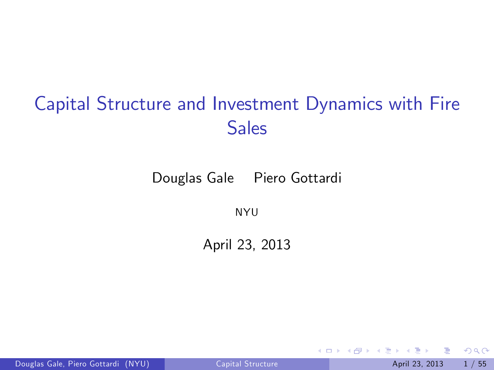# Capital Structure and Investment Dynamics with Fire Sales

Douglas Gale Piero Gottardi

**NYU** 

April 23, 2013

Douglas Gale, Piero Gottardi (NYU) [Capital Structure](#page-54-0) Capital Structure April 23, 2013 1/55

4 0 8

B

<span id="page-0-0"></span> $QQ$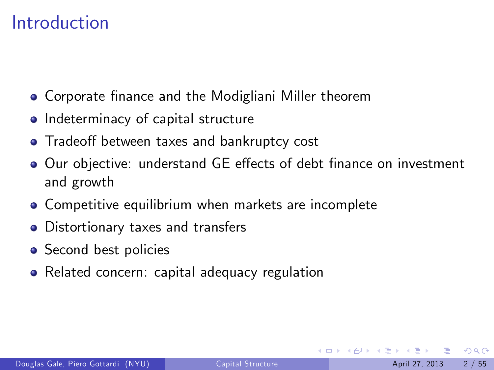## Introduction

- **Corporate finance and the Modigliani Miller theorem**
- Indeterminacy of capital structure
- Tradeoff between taxes and bankruptcy cost
- Our objective: understand GE effects of debt finance on investment and growth
- **Competitive equilibrium when markets are incomplete**
- Distortionary taxes and transfers
- Second best policies
- Related concern: capital adequacy regulation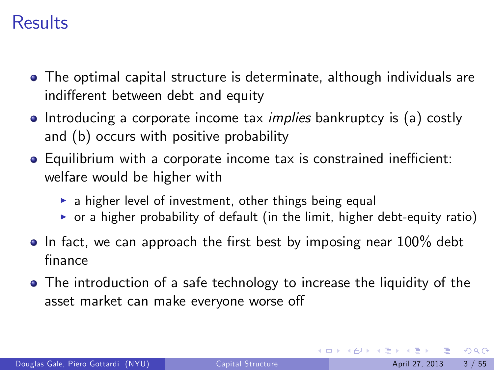## Results

- The optimal capital structure is determinate, although individuals are indifferent between debt and equity
- Introducing a corporate income tax *implies* bankruptcy is (a) costly and (b) occurs with positive probability
- $\bullet$  Equilibrium with a corporate income tax is constrained inefficient: welfare would be higher with
	- $\triangleright$  a higher level of investment, other things being equal
	- $\triangleright$  or a higher probability of default (in the limit, higher debt-equity ratio)
- $\bullet$  In fact, we can approach the first best by imposing near 100% debt finance
- The introduction of a safe technology to increase the liquidity of the asset market can make everyone worse off

 $=$   $\Omega$ 

イロト イ押ト イヨト イヨト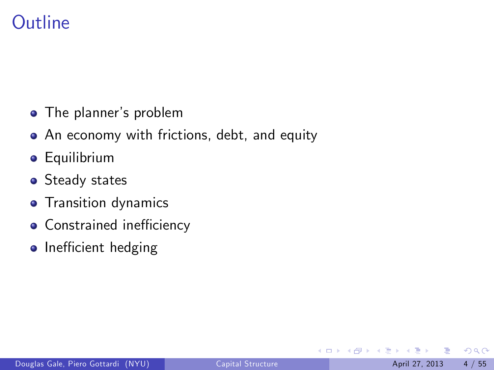# **Outline**

- **•** The planner's problem
- An economy with frictions, debt, and equity
- **•** Equilibrium
- **•** Steady states
- **•** Transition dynamics
- $\bullet$  Constrained inefficiency
- $\bullet$  Inefficient hedging

4 0 8

 $QQ$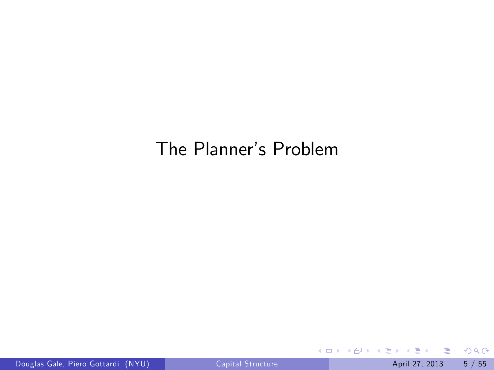## The Planner's Problem

. p

重

 $2990$ 

イロト イ部 トイモト イ毛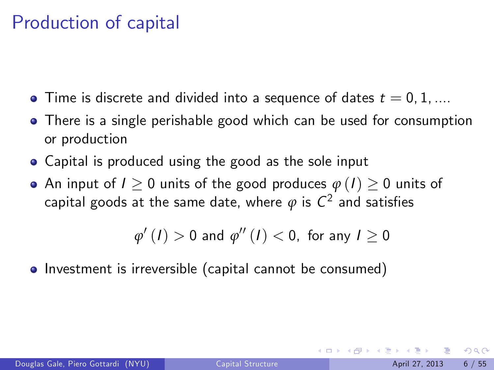## Production of capital

- $\bullet$  Time is discrete and divided into a sequence of dates  $t = 0, 1, ...$
- There is a single perishable good which can be used for consumption or production
- Capital is produced using the good as the sole input
- An input of  $I > 0$  units of the good produces  $\varphi(I) > 0$  units of capital goods at the same date, where  $\varphi$  is  $\mathsf{C}^2$  and satisfies

$$
\varphi'\left(\overline{I}\right) > 0 \text{ and } \varphi''\left(\overline{I}\right) < 0, \text{ for any } I \geq 0
$$

• Investment is irreversible (capital cannot be consumed)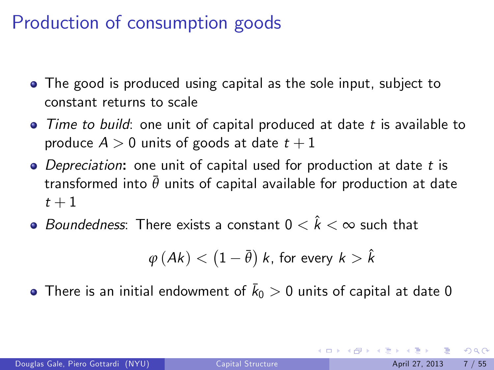## Production of consumption goods

- The good is produced using capital as the sole input, subject to constant returns to scale
- Time to build: one unit of capital produced at date t is available to produce  $A > 0$  units of goods at date  $t + 1$
- Depreciation: one unit of capital used for production at date t is transformed into  $\bar{\theta}$  units of capital available for production at date  $t+1$
- $\bullet$  Boundedness: There exists a constant  $0 < \hat{k} < \infty$  such that

$$
\varphi\left(Ak\right) < \left(1-\bar{\theta}\right)k, \text{ for every } k > \hat{k}
$$

There is an initial endowment of  $\bar{k}_0>0$  units of capital at date  $0$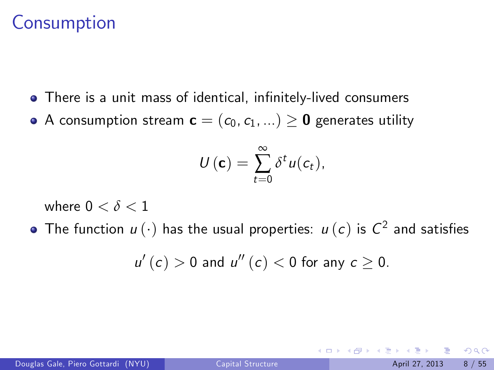## **Consumption**

- There is a unit mass of identical, infinitely-lived consumers
- A consumption stream  $\mathbf{c} = (c_0, c_1, ...) \geq \mathbf{0}$  generates utility

$$
U(\mathbf{c})=\sum_{t=0}^{\infty}\delta^{t}u(c_{t}),
$$

where  $0 < \delta < 1$ 

The function  $u(\cdot)$  has the usual properties:  $u(c)$  is  $C^2$  and satisfies

$$
u'(c) > 0
$$
 and  $u''(c) < 0$  for any  $c \ge 0$ .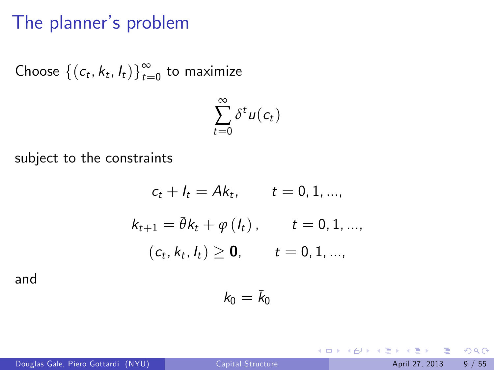#### The planner's problem

Choose  $\{(c_t, k_t, l_t)\}_{t=0}^{\infty}$  $\sum_{t=0}^{\infty}$  to maximize

$$
\sum_{t=0}^{\infty} \delta^t u(c_t)
$$

subject to the constraints

$$
c_{t} + I_{t} = Ak_{t}, \t t = 0, 1, ...,
$$

$$
k_{t+1} = \bar{\theta}k_{t} + \varphi(I_{t}), \t t = 0, 1, ...,
$$

$$
(c_{t}, k_{t}, I_{t}) \geq \mathbf{0}, \t t = 0, 1, ...,
$$

$$
k_{0} = \bar{k}_{0}
$$

and

4 日下

 $\leftarrow \leftarrow \leftarrow \leftarrow \leftarrow \leftarrow \leftarrow \leftarrow$ 

造

 $OQ$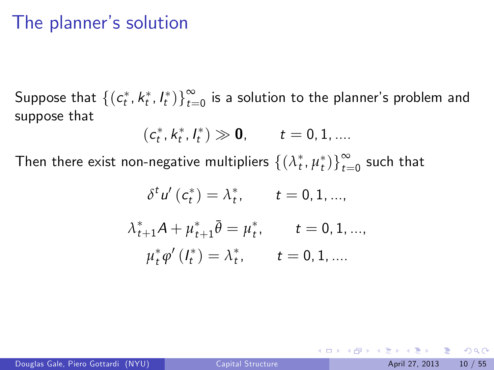#### The planner's solution

Suppose that  $\{(c_t^*, k_t^*, l_t^*)\}_{t=0}^{\infty}$  $\sum_{t=0}^{\infty}$  is a solution to the planner's problem and suppose that

$$
(c_t^*, k_t^*, l_t^*) \gg \mathbf{0}, \qquad t = 0, 1, ....
$$

Then there exist non-negative multipliers  $\left\{ (\lambda_t^*,\mu_t^*)\right\}_{t=1}^\infty$  $\sum_{t=0}^{\infty}$  such that

$$
\delta^{t} u'(c_{t}^{*}) = \lambda_{t}^{*}, \qquad t = 0, 1, ...,
$$

$$
\lambda_{t+1}^{*} A + \mu_{t+1}^{*} \bar{\theta} = \mu_{t}^{*}, \qquad t = 0, 1, ...,
$$

$$
\mu_{t}^{*} \varphi'(l_{t}^{*}) = \lambda_{t}^{*}, \qquad t = 0, 1, ....
$$

 $QQ$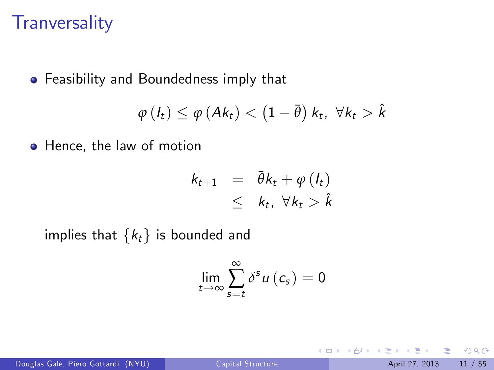#### **Tranversality**

**•** Feasibility and Boundedness imply that

$$
\varphi(I_t) \leq \varphi(Ak_t) < (1-\overline{\theta}) k_t, \ \forall k_t > \hat{k}
$$

• Hence, the law of motion

$$
k_{t+1} = \bar{\theta}k_t + \varphi(l_t) \leq k_t, \ \forall k_t > \hat{k}
$$

implies that  $\{k_t\}$  is bounded and

$$
\lim_{t\to\infty}\sum_{s=t}^{\infty}\delta^s u\left(c_s\right)=0
$$

4.0.3

Douglas Gale, Piero Gottardi (NYU) [Capital Structure](#page-0-0) April 27, 2013 11 / 55

э

 $QQ$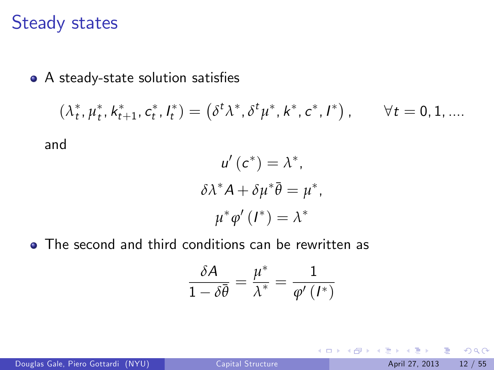#### Steady states

• A steady-state solution satisfies

$$
(\lambda_t^*, \mu_t^*, k_{t+1}^*, c_t^*, l_t^*) = (\delta^t \lambda^*, \delta^t \mu^*, k^*, c^*, l^*) , \qquad \forall t = 0, 1, ....
$$

and

$$
u'(c^*) = \lambda^*,
$$
  

$$
\delta \lambda^* A + \delta \mu^* \overline{\theta} = \mu^*,
$$
  

$$
\mu^* \varphi'(I^*) = \lambda^*
$$

• The second and third conditions can be rewritten as

$$
\frac{\delta A}{1-\delta\bar{\theta}}=\frac{\mu^*}{\lambda^*}=\frac{1}{\varphi'\left(I^*\right)}
$$

Douglas Gale, Piero Gottardi (NYU) [Capital Structure](#page-0-0) April 27, 2013 12 / 55

B

 $QQ$ 

4 ロ ト 4 何 ト 4 ヨ ト 4 ヨ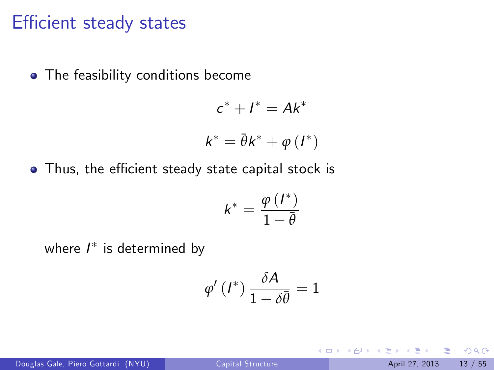#### Efficient steady states

• The feasibility conditions become

$$
c^* + I^* = Ak^*
$$

$$
k^* = \bar{\theta}k^* + \varphi(I^*)
$$

• Thus, the efficient steady state capital stock is

$$
k^* = \frac{\varphi\left(I^*\right)}{1-\bar{\theta}}
$$

where  $I^\ast$  is determined by

$$
\varphi'\left(\boldsymbol{I}^*\right) \frac{\delta A}{1-\delta \bar{\theta}}=1
$$

4 日下

 $QQ$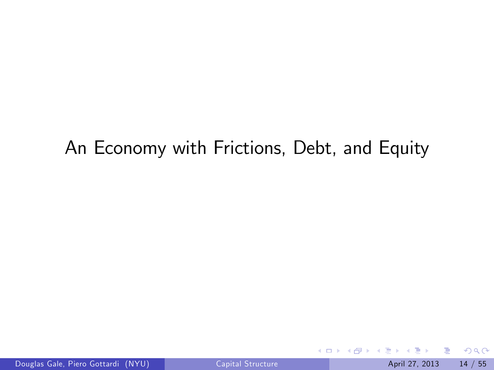#### An Economy with Frictions, Debt, and Equity

4 0 8

**∢ 何 ≯ →** 

в

B

 $QQ$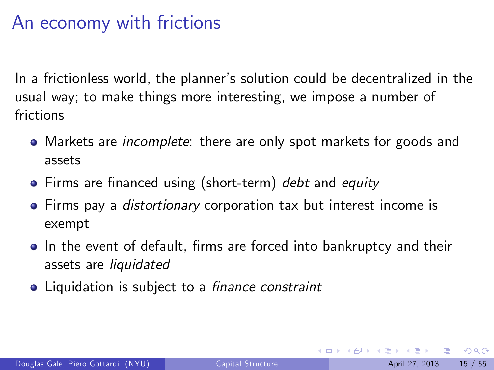# An economy with frictions

In a frictionless world, the plannerís solution could be decentralized in the usual way; to make things more interesting, we impose a number of frictions

- Markets are *incomplete*: there are only spot markets for goods and assets
- Firms are financed using (short-term) debt and equity
- **•** Firms pay a *distortionary* corporation tax but interest income is exempt
- In the event of default, firms are forced into bankruptcy and their assets are liquidated
- Liquidation is subject to a *finance constraint*

 $\Omega$ 

イロト イ母 トイラト イラト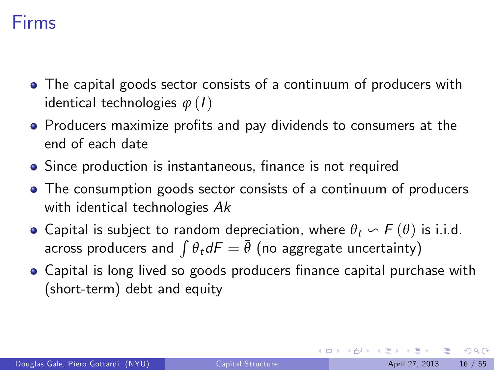## Firms

- The capital goods sector consists of a continuum of producers with identical technologies *ϕ* (I)
- Producers maximize profits and pay dividends to consumers at the end of each date
- Since production is instantaneous, finance is not required
- The consumption goods sector consists of a continuum of producers with identical technologies Ak
- Capital is subject to random depreciation, where  $\theta_t \backsim F(\theta)$  is i.i.d. across producers and  $\int \theta_t dF = \bar{\theta}$  (no aggregate uncertainty)
- Capital is long lived so goods producers finance capital purchase with (short-term) debt and equity

 $\Omega$ 

 $\left\{ \begin{array}{ccc} 1 & 0 & 0 \\ 0 & 1 & 0 \end{array} \right.$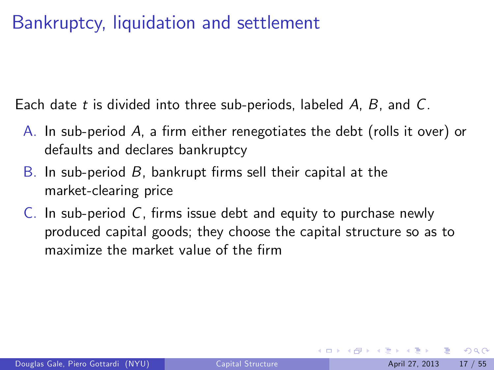# Bankruptcy, liquidation and settlement

Each date t is divided into three sub-periods, labeled A, B, and C.

- A. In sub-period A, a firm either renegotiates the debt (rolls it over) or defaults and declares bankruptcy
- $B.$  In sub-period  $B$ , bankrupt firms sell their capital at the market-clearing price
- $C.$  In sub-period  $C.$  firms issue debt and equity to purchase newly produced capital goods; they choose the capital structure so as to maximize the market value of the firm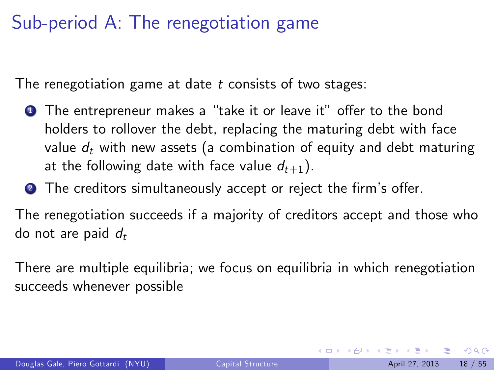# Sub-period A: The renegotiation game

The renegotiation game at date t consists of two stages:

- **1** The entrepreneur makes a "take it or leave it" offer to the bond holders to rollover the debt, replacing the maturing debt with face value  $d_t$  with new assets (a combination of equity and debt maturing at the following date with face value  $d_{t+1}$ ).
- <sup>2</sup> The creditors simultaneously accept or reject the firm's offer.

The renegotiation succeeds if a majority of creditors accept and those who do not are paid  $d_t$ 

There are multiple equilibria; we focus on equilibria in which renegotiation succeeds whenever possible

 $QQ$ 

 $\left\{ \begin{array}{ccc} 1 & 0 & 0 \\ 0 & 1 & 0 \end{array} \right.$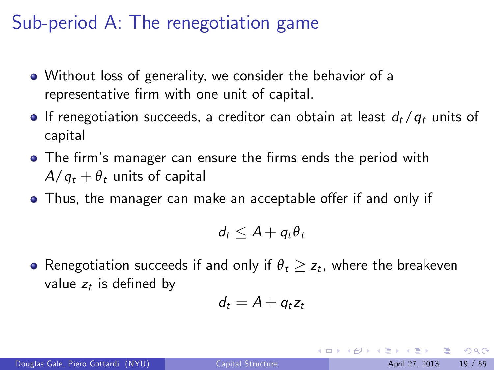# Sub-period A: The renegotiation game

- Without loss of generality, we consider the behavior of a representative firm with one unit of capital.
- **If renegotiation succeeds, a creditor can obtain at least**  $d_t/q_t$  **units of** capital
- The firm's manager can ensure the firms ends the period with  $A/q_t + \theta_t$  units of capital
- Thus, the manager can make an acceptable offer if and only if

$$
d_t \leq A + q_t \theta_t
$$

Renegotiation succeeds if and only if  $\theta_t \ge z_t$ , where the breakeven value  $z_t$  is defined by

$$
d_t = A + q_t z_t
$$

 $QQQ$ 

イロト イ母 トイラト イラト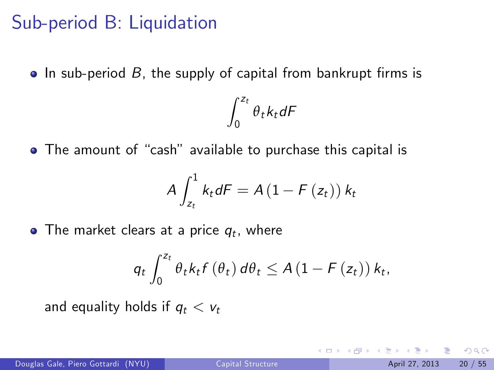# Sub-period B: Liquidation

 $\bullet$  In sub-period B, the supply of capital from bankrupt firms is

$$
\int_0^{z_t} \theta_t k_t dF
$$

• The amount of "cash" available to purchase this capital is

$$
A\int_{z_t}^1 k_t dF = A(1 - F(z_t)) k_t
$$

The market clears at a price  $\it q_t$ , where

$$
q_t \int_0^{z_t} \theta_t k_t f\left(\theta_t\right) d\theta_t \leq A \left(1 - F\left(z_t\right)\right) k_t,
$$

and equality holds if  $q_t < v_t$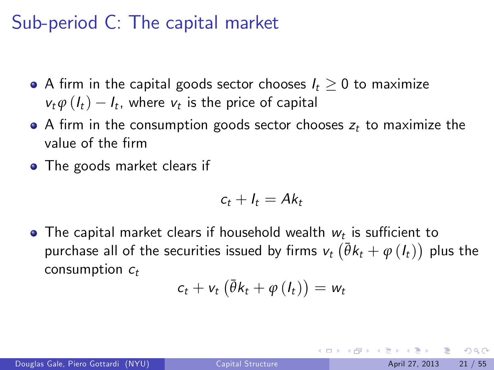# Sub-period C: The capital market

- A firm in the capital goods sector chooses  $I_t > 0$  to maximize  $v_t \varphi(I_t) - I_t$ , where  $v_t$  is the price of capital
- $\bullet$  A firm in the consumption goods sector chooses  $z_t$  to maximize the value of the Örm
- The goods market clears if

$$
c_t + I_t = Ak_t
$$

The capital market clears if household wealth  $w_t$  is sufficient to purchase all of the securities issued by firms  $v_t\left(\bar{\theta}k_t + \varphi\left(l_t\right)\right)$  plus the consumption  $c_t$ 

$$
c_t + v_t \left( \bar{\theta} k_t + \varphi \left( l_t \right) \right) = w_t
$$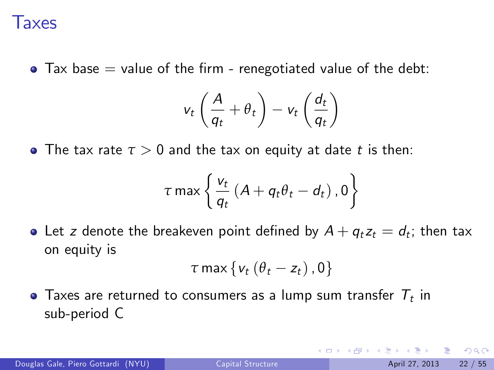#### Taxes

 $\bullet$  Tax base  $=$  value of the firm - renegotiated value of the debt:

$$
v_t\left(\frac{A}{q_t}+\theta_t\right)-v_t\left(\frac{d_t}{q_t}\right)
$$

• The tax rate  $\tau > 0$  and the tax on equity at date t is then:

$$
\tau \max \left\{ \frac{v_t}{q_t} \left( A + q_t \theta_t - d_t \right), 0 \right\}
$$

Let  $\boldsymbol{z}$  denote the breakeven point defined by  $A+q_t z_t = d_t$ ; then tax on equity is

$$
\tau \max \{ v_t \left( \theta_t - z_t \right), 0 \}
$$

Taxes are returned to consumers as a lump sum transfer  $\mathcal{T}_t$  in sub-period C

 $QQQ$ 

**K ロ ▶ | K 伺 ▶ | K ヨ ▶**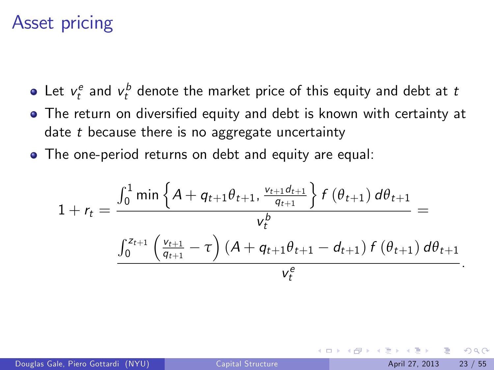#### Asset pricing

- Let  $v_t^e$  and  $v_t^b$  denote the market price of this equity and debt at  $t$
- The return on diversified equity and debt is known with certainty at date  $t$  because there is no aggregate uncertainty
- The one-period returns on debt and equity are equal:

$$
1 + r_t = \frac{\int_0^1 \min\left\{ A + q_{t+1} \theta_{t+1}, \frac{v_{t+1} d_{t+1}}{q_{t+1}} \right\} f(\theta_{t+1}) d\theta_{t+1}}{v_t^b} = \\ \frac{\int_0^{z_{t+1}} \left( \frac{v_{t+1}}{q_{t+1}} - \tau \right) \left( A + q_{t+1} \theta_{t+1} - d_{t+1} \right) f(\theta_{t+1}) d\theta_{t+1}}{v_t^e}.
$$

 $\Omega$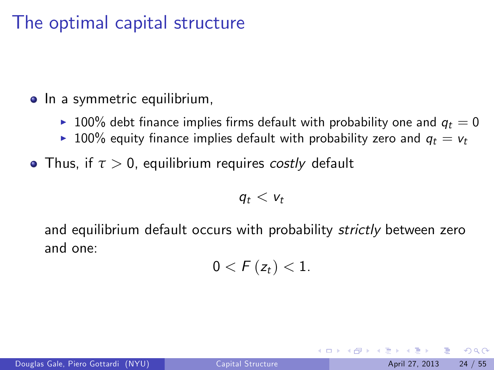## The optimal capital structure

- In a symmetric equilibrium,
	- $\geq 100\%$  debt finance implies firms default with probability one and  $q_t = 0$
	- ▶ 100% equity finance implies default with probability zero and  $q_t = v_t$
- Thus, if *τ* > 0, equilibrium requires costly default

$$
q_t < v_t
$$

and equilibrium default occurs with probability strictly between zero and one:

$$
0 < F(z_t) < 1.
$$

 $\Omega$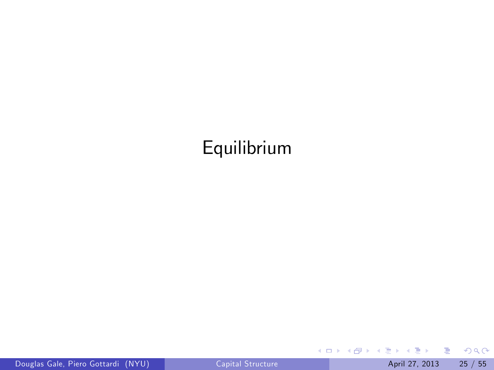# Equilibrium

活

 $2990$ 

イロト イ部 トメ ヨ トメ ヨト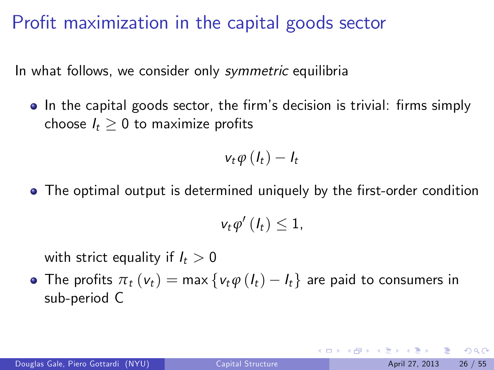Profit maximization in the capital goods sector

In what follows, we consider only *symmetric* equilibria

• In the capital goods sector, the firm's decision is trivial: firms simply choose  $I_t > 0$  to maximize profits

$$
v_t \varphi (I_t) - I_t
$$

• The optimal output is determined uniquely by the first-order condition

$$
v_t\varphi'\left(l_t\right)\leq 1,
$$

with strict equality if  $I_t > 0$ 

• The profits  $\pi_t$  ( $v_t$ ) = max  $\{v_t \varphi$  ( $l_t$ ) –  $l_t\}$  are paid to consumers in sub-period C

 $\Omega$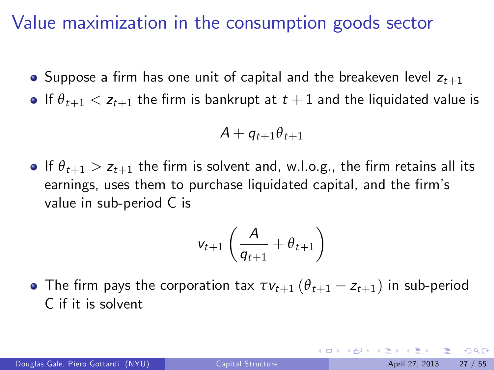## Value maximization in the consumption goods sector

- Suppose a firm has one unit of capital and the breakeven level  $z_{t+1}$
- **•** If  $\theta_{t+1} < z_{t+1}$  the firm is bankrupt at  $t+1$  and the liquidated value is

$$
A+q_{t+1}\theta_{t+1}
$$

• If  $\theta_{t+1} > z_{t+1}$  the firm is solvent and, w.l.o.g., the firm retains all its earnings, uses them to purchase liquidated capital, and the firm's value in sub-period C is

$$
v_{t+1}\left(\frac{A}{q_{t+1}}+\theta_{t+1}\right)
$$

• The firm pays the corporation tax  $\tau v_{t+1}$  ( $\theta_{t+1} - z_{t+1}$ ) in sub-period C if it is solvent

 $\Omega$ 

 $\left\{ \begin{array}{ccc} 1 & 0 & 0 \\ 0 & 1 & 0 \end{array} \right.$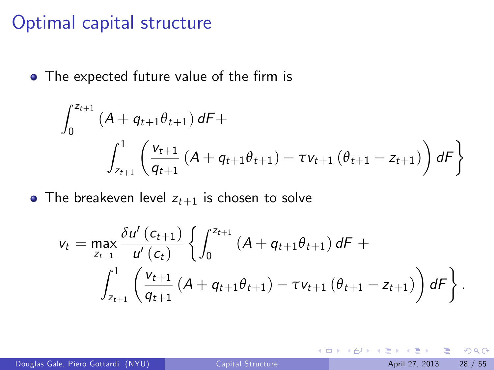#### Optimal capital structure

• The expected future value of the firm is

$$
\int_{0}^{z_{t+1}} (A + q_{t+1}\theta_{t+1}) dF +
$$
\n
$$
\int_{z_{t+1}}^{1} \left( \frac{v_{t+1}}{q_{t+1}} (A + q_{t+1}\theta_{t+1}) - \tau v_{t+1} (\theta_{t+1} - z_{t+1}) \right) dF \}
$$

• The breakeven level  $z_{t+1}$  is chosen to solve

$$
v_{t} = \max_{z_{t+1}} \frac{\delta u^{\prime} (c_{t+1})}{u^{\prime} (c_{t})} \left\{ \int_{0}^{z_{t+1}} (A + q_{t+1} \theta_{t+1}) dF + \int_{z_{t+1}}^{1} \left( \frac{v_{t+1}}{q_{t+1}} (A + q_{t+1} \theta_{t+1}) - \tau v_{t+1} (\theta_{t+1} - z_{t+1}) \right) dF \right\}.
$$

4 0 8

 $\rightarrow$   $\rightarrow$   $\rightarrow$ 

Douglas Gale, Piero Gottardi (NYU) [Capital Structure](#page-0-0) April 27, 2013 28 / 55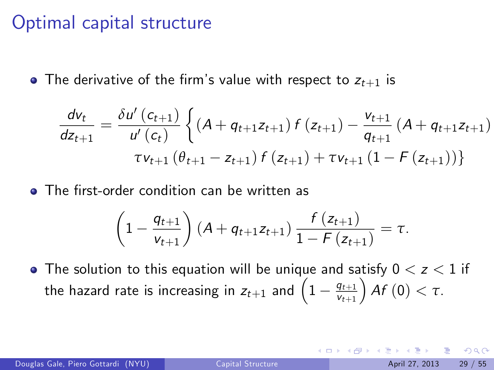## Optimal capital structure

• The derivative of the firm's value with respect to  $z_{t+1}$  is

$$
\frac{d v_t}{d z_{t+1}} = \frac{\delta u' (c_{t+1})}{u' (c_t)} \left\{ (A + q_{t+1} z_{t+1}) f (z_{t+1}) - \frac{v_{t+1}}{q_{t+1}} (A + q_{t+1} z_{t+1}) \right. \\ \left. \tau v_{t+1} \left( \theta_{t+1} - z_{t+1} \right) f (z_{t+1}) + \tau v_{t+1} \left( 1 - F (z_{t+1}) \right) \right\}
$$

• The first-order condition can be written as

$$
\left(1-\frac{q_{t+1}}{v_{t+1}}\right)(A+q_{t+1}z_{t+1})\frac{f(z_{t+1})}{1-F(z_{t+1})}=\tau.
$$

 $\bullet$  The solution to this equation will be unique and satisfy  $0 < z < 1$  if the hazard rate is increasing in  $z_{t+1}$  and  $\Big(1-\frac{q_{t+1}}{\nu_{t+1}}$  $v_{t+1}$  $\int Af(0) < τ.$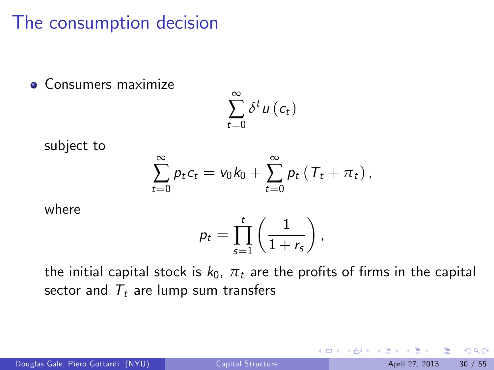## The consumption decision

**Consumers maximize** 

$$
\sum_{t=0}^{\infty} \delta^t u\left(c_t\right)
$$

subject to

$$
\sum_{t=0}^{\infty} p_t c_t = v_0 k_0 + \sum_{t=0}^{\infty} p_t \left(T_t + \pi_t\right),
$$

where

$$
p_t = \prod_{s=1}^t \left(\frac{1}{1+r_s}\right),
$$

the initial capital stock is  $k_0$ ,  $\pi_t$  are the profits of firms in the capital sector and  $T_t$  are lump sum transfers

4 0 8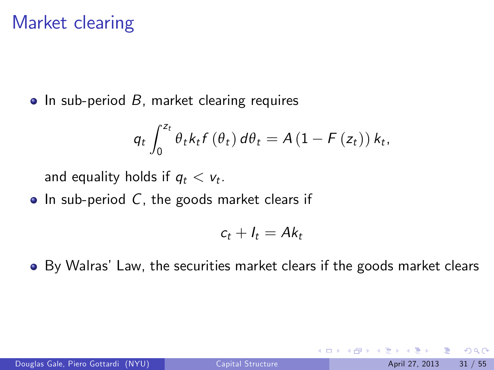## Market clearing

 $\bullet$  In sub-period B, market clearing requires

$$
q_t \int_0^{z_t} \theta_t k_t f(\theta_t) d\theta_t = A (1 - F(z_t)) k_t,
$$

and equality holds if  $q_t < v_t$ .

 $\bullet$  In sub-period C, the goods market clears if

$$
c_t + I_t = Ak_t
$$

• By Walras' Law, the securities market clears if the goods market clears

4 0 8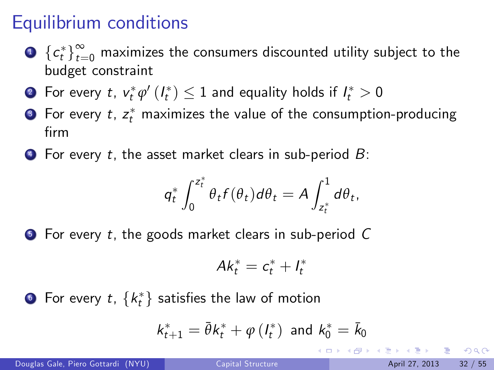# Equilibrium conditions

- $\textbf{1}_{\left\{c_{t}^{*}\right\}_{t=0}^{\infty}}$  maximizes the consumers discounted utility subject to the budget constraint
- $\bullet$  For every  $t$ ,  $v_t^* \varphi' \left( I_t^* \right) \leq 1$  and equality holds if  $I_t^* > 0$
- $\bullet\,$  For every  $t$ ,  $z^*_t$  maximizes the value of the consumption-producing firm
- $\bullet$  For every t, the asset market clears in sub-period B:

$$
q_t^* \int_0^{z_t^*} \theta_t f(\theta_t) d\theta_t = A \int_{z_t^*}^1 d\theta_t,
$$

**•** For every t, the goods market clears in sub-period C

$$
Ak_t^* = c_t^* + I_t^*
$$

 $\bullet$  For every  $t,$   $\{k^*_t\}$  satisfies the law of motion

$$
k_{t+1}^{*}=\bar{\theta}k_{t}^{*}+\varphi\left(I_{t}^{*}\right) \text{ and } k_{0}^{*}=\bar{k}_{0}
$$

 $\Omega$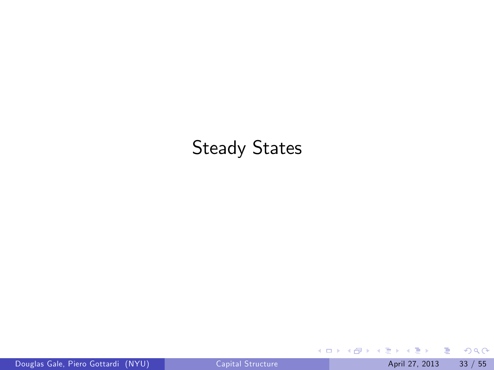#### Steady States

重

 $2990$ 

 $\rightarrow \equiv$ 

**K ロ ト K 御 ト K 君 ト**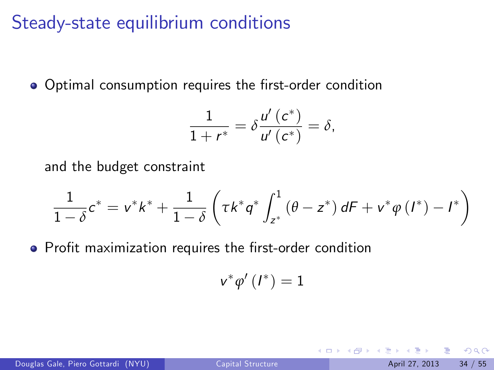## Steady-state equilibrium conditions

• Optimal consumption requires the first-order condition

$$
\frac{1}{1+r^*}=\delta\frac{u'\left(c^*\right)}{u'\left(c^*\right)}=\delta,
$$

and the budget constraint

$$
\frac{1}{1-\delta}c^{*} = v^{*}k^{*} + \frac{1}{1-\delta}\left(\tau k^{*}q^{*}\int_{z^{*}}^{1}(\theta - z^{*}) dF + v^{*}\varphi(l^{*}) - l^{*}\right)
$$

• Profit maximization requires the first-order condition

$$
v^*\varphi'\left(I^*\right)=1
$$

4 日下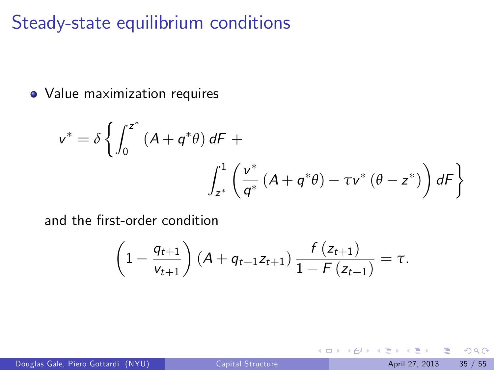## Steady-state equilibrium conditions

Value maximization requires

$$
v^* = \delta \left\{ \int_0^{z^*} (A + q^* \theta) dF + \int_{z^*} \left( \frac{v^*}{q^*} (A + q^* \theta) - \tau v^* (\theta - z^*) \right) dF \right\}
$$

and the first-order condition

$$
\left(1-\frac{q_{t+1}}{v_{t+1}}\right)(A+q_{t+1}z_{t+1})\frac{f(z_{t+1})}{1-F(z_{t+1})}=\tau.
$$

4 日下

Douglas Gale, Piero Gottardi (NYU) [Capital Structure](#page-0-0) April 27, 2013 35 / 55

э

 $QQ$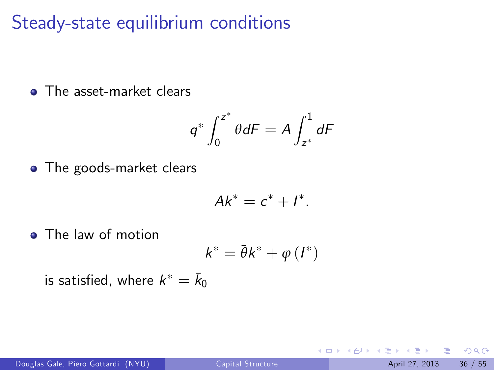# Steady-state equilibrium conditions

**o** The asset-market clears

$$
q^*\int_0^{z^*}\theta dF=A\int_{z^*}^1dF
$$

• The goods-market clears

$$
Ak^*=c^*+I^*.
$$

• The law of motion

$$
k^* = \bar{\theta} k^* + \varphi \left( I^* \right)
$$

is satisfied, where  $k^*=\bar{k}_0$ 

4.0.3

 $\Omega$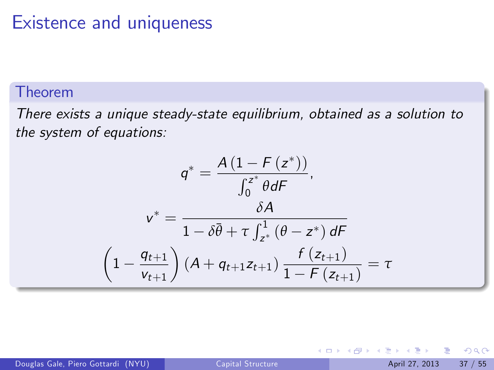#### Existence and uniqueness

#### Theorem

There exists a unique steady-state equilibrium, obtained as a solution to the system of equations:

$$
q^* = \frac{A (1 - F (z^*))}{\int_0^{z^*} \theta dF},
$$

$$
v^* = \frac{\delta A}{1 - \delta \bar{\theta} + \tau \int_{z^*}^1 (\theta - z^*) dF}
$$

$$
\left(1 - \frac{q_{t+1}}{v_{t+1}}\right) (A + q_{t+1} z_{t+1}) \frac{f (z_{t+1})}{1 - F (z_{t+1})} = \tau
$$

4 0 8

÷

 $QQ$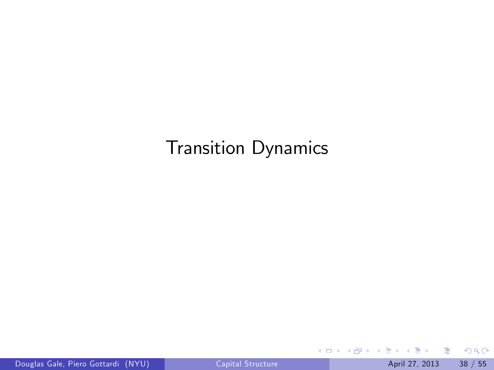## Transition Dynamics

 $\rightarrow$   $\equiv$ 

重

<span id="page-37-0"></span> $2990$ 

**K ロ ト K 御 ト K 君 ト**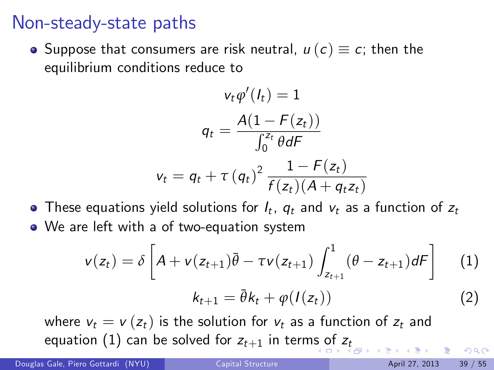#### Non-steady-state paths

• Suppose that consumers are risk neutral,  $u(c) \equiv c$ ; then the equilibrium conditions reduce to

$$
v_t \varphi'(l_t) = 1
$$

$$
q_t = \frac{A(1 - F(z_t))}{\int_0^{z_t} \theta dF}
$$

$$
v_t = q_t + \tau (q_t)^2 \frac{1 - F(z_t)}{f(z_t)(A + q_t z_t)}
$$

These equations yield solutions for  $l_t$ ,  $q_t$  and  $v_t$  as a function of  $z_t$ We are left with a of two-equation system

$$
v(z_t) = \delta \left[ A + v(z_{t+1}) \bar{\theta} - \tau v(z_{t+1}) \int_{z_{t+1}}^1 (\theta - z_{t+1}) dF \right]
$$
 (1)

<span id="page-38-1"></span><span id="page-38-0"></span>
$$
k_{t+1} = \bar{\theta}k_t + \varphi(I(z_t))
$$
 (2)

where  $v_t = v(z_t)$  is the solution for  $v_t$  as a function of  $z_t$  and equation [\(1\)](#page-38-1) can be solved for  $z_{t+1}$  $z_{t+1}$  $z_{t+1}$  $z_{t+1}$  in term[s o](#page-37-0)f  $z_t$ 

Douglas Gale, Piero Gottardi (NYU) [Capital Structure](#page-0-0) April 27, 2013 39 / 55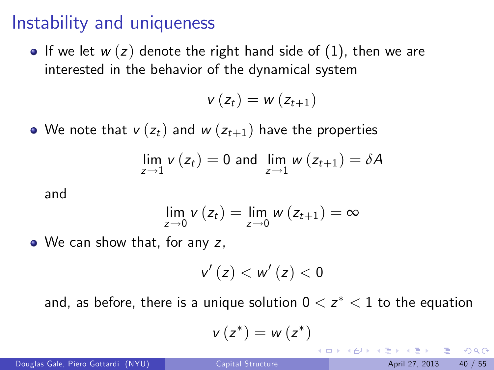#### Instability and uniqueness

• If we let  $w(z)$  denote the right hand side of [\(1\)](#page-38-1), then we are interested in the behavior of the dynamical system

$$
v\left(z_{t}\right)=w\left(z_{t+1}\right)
$$

• We note that  $v (z_t)$  and  $w (z_{t+1})$  have the properties

$$
\lim_{z \to 1} v(z_t) = 0 \text{ and } \lim_{z \to 1} w(z_{t+1}) = \delta A
$$

and

$$
\lim_{z\to 0} v(z_t) = \lim_{z\to 0} w(z_{t+1}) = \infty
$$

• We can show that, for any z,

$$
v'\left(z\right)< w'\left(z\right)<0
$$

and, as before, there is a unique solution  $0 < z^* < 1$  to the equation

<span id="page-39-0"></span>
$$
v(z^*)=w(z^*)
$$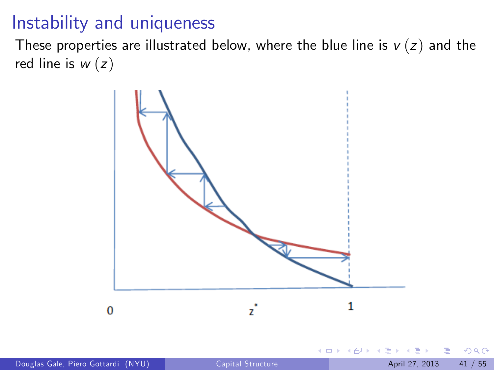# Instability and uniqueness

These properties are illustrated below, where the blue line is  $v(z)$  and the red line is  $w(z)$ 



 $\Omega$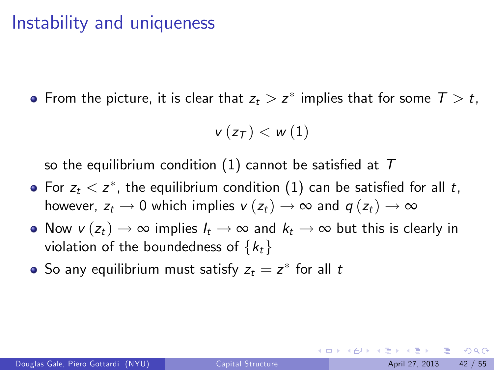# Instability and uniqueness

From the picture, it is clear that  $z_t > z^*$  implies that for some  $T > t_{\rm r}$ 

$$
v\left(z_T\right) < w\left(1\right)
$$

so the equilibrium condition [\(1\)](#page-38-1) cannot be satisfied at  $T$ 

- For  $z_t < z^\ast$ , the equilibrium condition  $(1)$  can be satisfied for all  $t,$ however,  $z_t \to 0$  which implies  $v (z_t) \to \infty$  and  $q (z_t) \to \infty$
- Now  $v (z_t) \to \infty$  implies  $I_t \to \infty$  and  $k_t \to \infty$  but this is clearly in violation of the boundedness of  $\{k_t\}$
- So any equilibrium must satisfy  $z_t=z^\ast$  for all  $t$

 $\Omega$ 

 $\left\{ \begin{array}{ccc} 1 & 0 & 0 \\ 0 & 1 & 0 \end{array} \right.$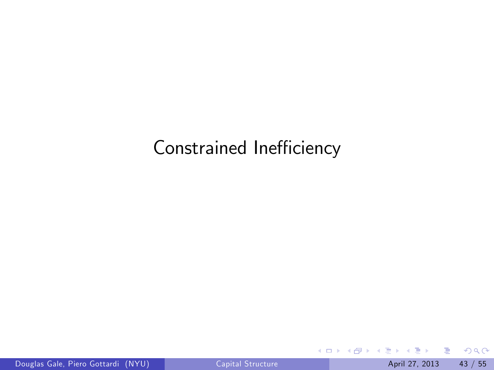## Constrained Inefficiency

重

э.  $\rightarrow$  $\mathcal{A}$ 

**K ロ ト K 伊 ト K** 

重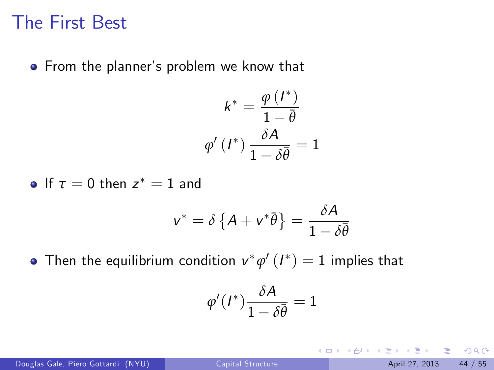#### The First Best

**•** From the planner's problem we know that

$$
k^* = \frac{\varphi\left(l^*\right)}{1-\bar{\theta}}
$$

$$
\varphi'\left(l^*\right) \frac{\delta A}{1-\delta \bar{\theta}} = 1
$$

If  $\tau = 0$  then  $z^* = 1$  and

$$
v^* = \delta \left\{ A + v^* \bar{\theta} \right\} = \frac{\delta A}{1 - \delta \bar{\theta}}
$$

Then the equilibrium condition  $\mathsf{v}^*\mathsf{\phi}'$   $(I^*)=1$  implies that

$$
\varphi'(I^*)\frac{\delta A}{1-\delta \bar{\theta}}=1
$$

B

 $QQ$ 

**K ロ ▶ | K 伺 ▶ | K ヨ ▶**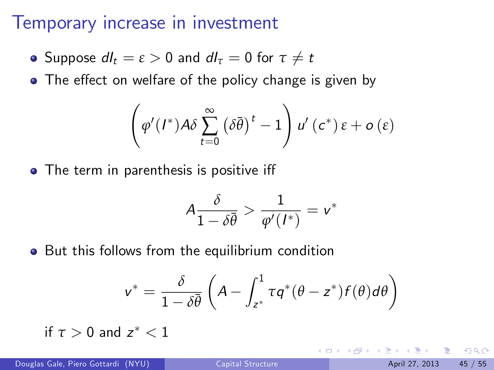#### Temporary increase in investment

- **•** Suppose  $dl_t = \varepsilon > 0$  and  $dl_\tau = 0$  for  $\tau \neq t$
- The effect on welfare of the policy change is given by

$$
\left(\varphi^\prime (I^*)A\delta\sum_{t=0}^{\infty}\left(\delta\bar\theta\right)^t-1\right)u^\prime\left(c^*\right)\epsilon+o\left(\epsilon\right)
$$

• The term in parenthesis is positive iff

$$
A\frac{\delta}{1-\delta\bar\theta}>\frac{1}{\varphi'(I^*)}=\mathsf{v}^*
$$

But this follows from the equilibrium condition

$$
v^* = \frac{\delta}{1-\delta\bar{\theta}}\left(A - \int_{z^*}^1 \tau q^*(\theta - z^*) f(\theta) d\theta\right)
$$

4 日下

if  $\tau > 0$  and  $z^* < 1$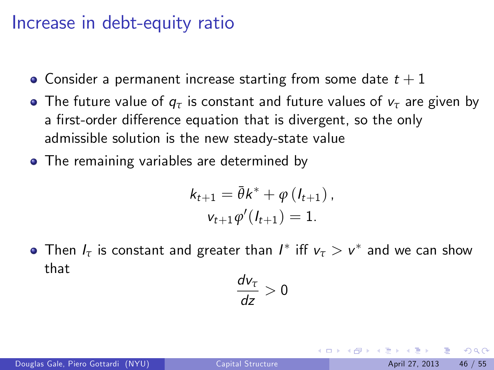## Increase in debt-equity ratio

- $\bullet$  Consider a permanent increase starting from some date  $t+1$
- The future value of q*<sup>τ</sup>* is constant and future values of v*<sup>τ</sup>* are given by a first-order difference equation that is divergent, so the only admissible solution is the new steady-state value
- The remaining variables are determined by

$$
k_{t+1} = \bar{\theta}k^* + \varphi(l_{t+1}),
$$
  

$$
v_{t+1}\varphi'(l_{t+1}) = 1.
$$

Then  $I_{\tau}$  is constant and greater than  $I^*$  iff  $v_{\tau} > v^*$  and we can show that

$$
\frac{d v_{\tau}}{dz}>0
$$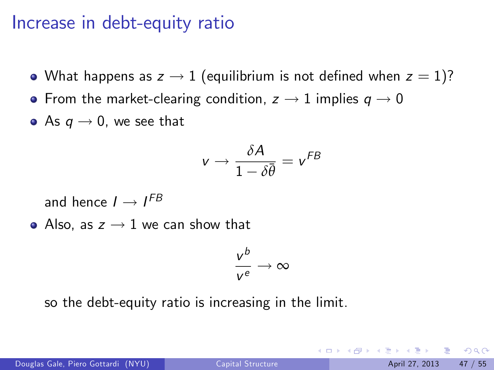#### Increase in debt-equity ratio

- What happens as  $z \rightarrow 1$  (equilibrium is not defined when  $z = 1$ )?
- From the market-clearing condition,  $z \rightarrow 1$  implies  $q \rightarrow 0$
- As  $q \rightarrow 0$ , we see that

$$
v \to \frac{\delta A}{1 - \delta \bar{\theta}} = v^{FB}
$$

and hence  $I \rightarrow I^{FB}$ 

• Also, as  $z \rightarrow 1$  we can show that

$$
\frac{v^b}{v^e} \to \infty
$$

so the debt-equity ratio is increasing in the limit.

 $\Omega$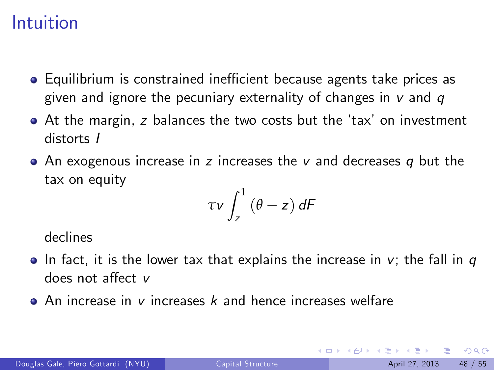## Intuition

- Equilibrium is constrained inefficient because agents take prices as given and ignore the pecuniary externality of changes in  $v$  and  $q$
- At the margin, z balances the two costs but the 'tax' on investment distorts I
- An exogenous increase in z increases the  $\nu$  and decreases q but the tax on equity

$$
\tau v \int_z^1 (\theta - z) dF
$$

declines

- In fact, it is the lower tax that explains the increase in v; the fall in q does not a§ect v
- $\bullet$  An increase in v increases k and hence increases welfare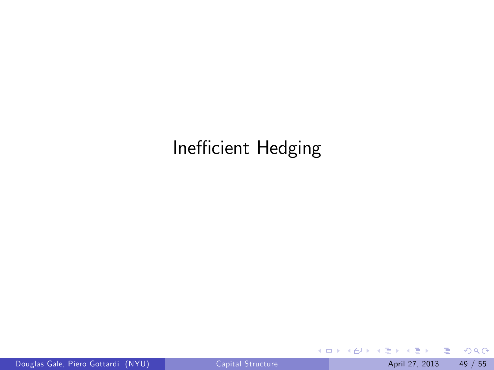# Inefficient Hedging

 $\,$  $\mathcal{A}$ 重

**K ロ ▶ K 御 ▶ K 舌** 

重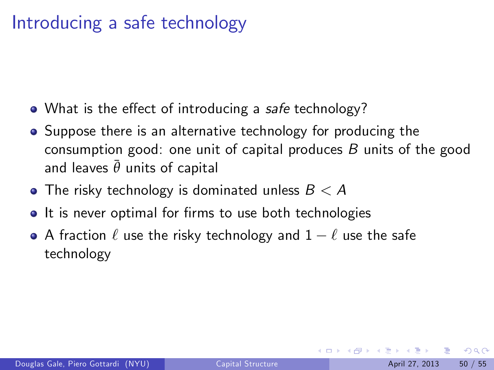## Introducing a safe technology

- What is the effect of introducing a safe technology?
- Suppose there is an alternative technology for producing the consumption good: one unit of capital produces  $B$  units of the good and leaves  $\bar{\theta}$  units of capital
- $\bullet$  The risky technology is dominated unless  $B < A$
- It is never optimal for firms to use both technologies
- $\bullet$  A fraction  $\ell$  use the risky technology and  $1 \ell$  use the safe technology

4 日下

 $QQ$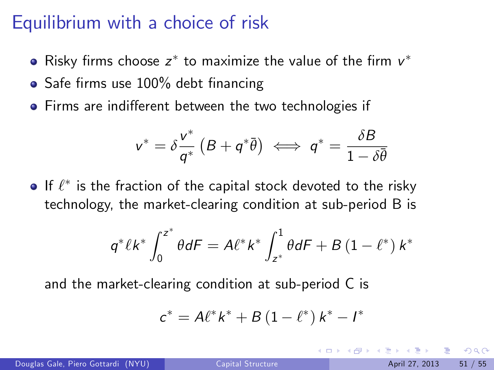## Equilibrium with a choice of risk

- Risky firms choose  $z^*$  to maximize the value of the firm  $v^*$
- $\bullet$  Safe firms use 100% debt financing
- Firms are indifferent between the two technologies if

$$
v^* = \delta \frac{v^*}{q^*} \left( B + q^* \overline{\theta} \right) \iff q^* = \frac{\delta B}{1 - \delta \overline{\theta}}
$$

If  $\ell^*$  is the fraction of the capital stock devoted to the risky technology, the market-clearing condition at sub-period B is

$$
q^* \ell k^* \int_0^{z^*} \theta dF = A \ell^* k^* \int_{z^*}^1 \theta dF + B \left( 1 - \ell^* \right) k^*
$$

and the market-clearing condition at sub-period C is

$$
c^* = A\ell^* k^* + B (1 - \ell^*) k^* - I^*
$$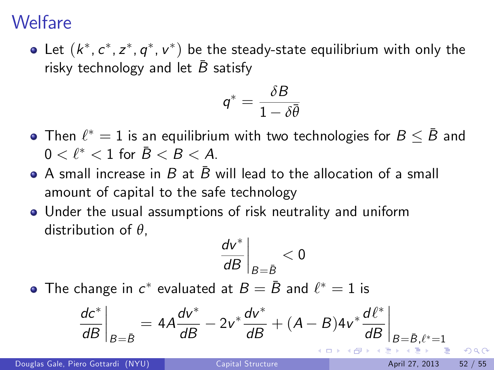#### **Welfare**

Let  $(k^*, c^*, z^*, q^*, v^*)$  be the steady-state equilibrium with only the risky technology and let  $\bar{B}$  satisfy

$$
q^* = \frac{\delta B}{1 - \delta \bar{\theta}}
$$

- Then  $\ell^* = 1$  is an equilibrium with two technologies for  $B \leq \bar{B}$  and  $0 < l^* < 1$  for  $B < B < A$ .
- $\bullet$  A small increase in B at  $\bar{B}$  will lead to the allocation of a small amount of capital to the safe technology
- Under the usual assumptions of risk neutrality and uniform distribution of *θ*,

$$
\left.\frac{d v^*}{d B}\right|_{B=\bar{B}}<0
$$

The change in  $c^\ast$  evaluated at  $B=\bar{B}$  and  $\ell^\ast=1$  is

$$
\left. \frac{dc^*}{dB} \right|_{B=\bar{B}} = 4A \frac{dv^*}{dB} - 2v^* \frac{dv^*}{dB} + (A-B)4v^* \frac{d\ell^*}{dB} \Big|_{B=\bar{B}, \ell^* = 1}
$$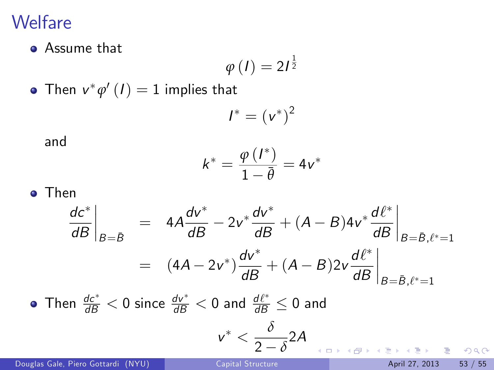## **Welfare**

**•** Assume that

$$
\varphi\left(I\right)=2I^{\frac{1}{2}}
$$

Then  $v^*\varphi'\left( I\right)=1$  implies that

$$
I^* = \left(v^*\right)^2
$$

and

$$
k^* = \frac{\varphi\left(l^*\right)}{1-\bar{\theta}} = 4v^*
$$

**o** Then

 $\bullet$ 

$$
\left. \frac{dc^*}{dB} \right|_{B=\bar{B}} = 4A \frac{dv^*}{dB} - 2v^* \frac{dv^*}{dB} + (A - B)4v^* \frac{d\ell^*}{dB} \Big|_{B=\bar{B}, \ell^*=1}
$$

$$
= (4A - 2v^*) \frac{dv^*}{dB} + (A - B)2v \frac{d\ell^*}{dB} \Big|_{B=B, \ell^*=1}
$$
Then  $\frac{dc^*}{dB} < 0$  since  $\frac{dv^*}{dB} < 0$  and  $\frac{d\ell^*}{dB} \le 0$  and  $v^* < \frac{\delta}{2-\delta} 2A$ 

Douglas Gale, Piero Gottardi (NYU) [Capital Structure](#page-0-0) Capital Structure April 27, 2013 53 / 55

**KORK (BRKERKER)** BY ONC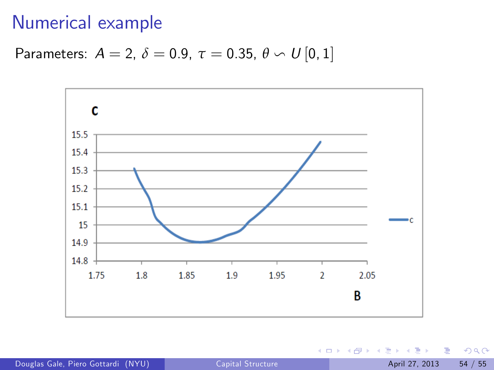#### Numerical example

Parameters:  $A = 2$ ,  $\delta = 0.9$ ,  $\tau = 0.35$ ,  $\theta \backsim U[0, 1]$ 



Douglas Gale, Piero Gottardi (NYU) [Capital Structure](#page-0-0) Capital Structure April 27, 2013 54 / 55

 $\equiv$ 

 $298$ 

 $\rightarrow$   $\Rightarrow$ 

4 0 8

 $\left\{ \left| \left| \left| \left| \left| \left| \left| \left| \right| \right| \right| \right| \right| \right| \right\} \right\}$   $\left| \left| \left| \left| \left| \left| \left| \left| \left| \left| \left| \right| \right| \right| \right| \right| \right| \right| \right\}$